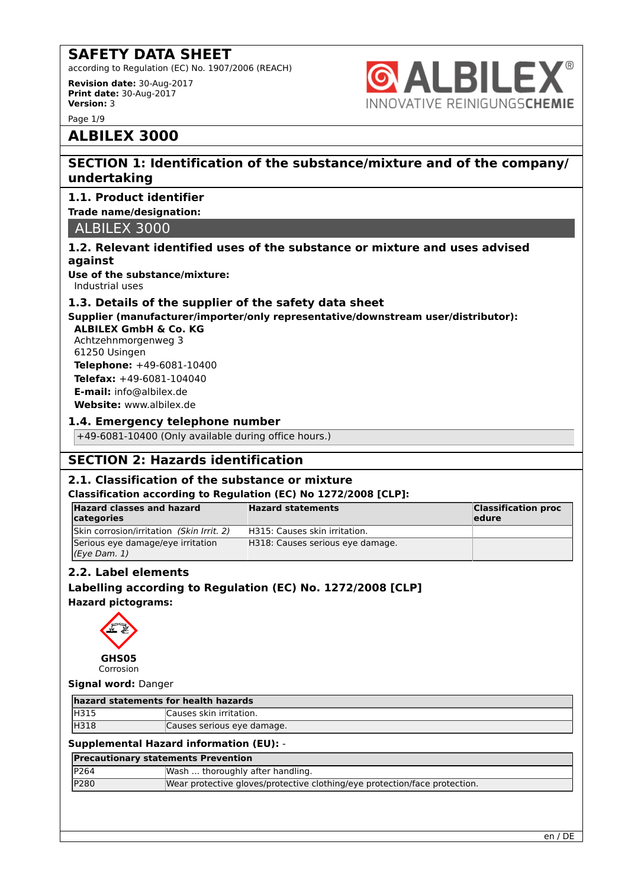according to Regulation (EC) No. 1907/2006 (REACH)

**Revision date:** 30-Aug-2017 **Print date:** 30-Aug-2017 **Version:** 3

Page 1/9

# **ALBILEX®** INNOVATIVE REINIGUNGSCHEMIE

### **ALBILEX 3000**

### **SECTION 1: Identification of the substance/mixture and of the company/ undertaking**

### **1.1. Product identifier**

### **Trade name/designation:**

ALBILEX 3000

### **1.2. Relevant identified uses of the substance or mixture and uses advised against**

**Use of the substance/mixture:** Industrial uses

### **1.3. Details of the supplier of the safety data sheet**

**Supplier (manufacturer/importer/only representative/downstream user/distributor):**

**ALBILEX GmbH & Co. KG** Achtzehnmorgenweg 3 61250 Usingen **Telephone:** +49-6081-10400 **Telefax:** +49-6081-104040 **E-mail:** info@albilex.de **Website:** www.albilex.de

### **1.4. Emergency telephone number**

+49-6081-10400 (Only available during office hours.)

### **SECTION 2: Hazards identification**

### **2.1. Classification of the substance or mixture**

### **Classification according to Regulation (EC) No 1272/2008 [CLP]:**

| <b>Hazard classes and hazard</b><br>categories        | <b>Hazard statements</b>         | <b>Classification proc</b><br>ledure |
|-------------------------------------------------------|----------------------------------|--------------------------------------|
| Skin corrosion/irritation (Skin Irrit. 2)             | H315: Causes skin irritation.    |                                      |
| Serious eye damage/eye irritation<br>$(Eye$ Dam. $1)$ | H318: Causes serious eye damage. |                                      |

### **2.2. Label elements**

### **Labelling according to Regulation (EC) No. 1272/2008 [CLP]**

**Hazard pictograms:**



Corrosion

### **Signal word:** Danger

| hazard statements for health hazards |                            |  |
|--------------------------------------|----------------------------|--|
| <b>H315</b>                          | Causes skin irritation.    |  |
| H318                                 | Causes serious eye damage. |  |

### **Supplemental Hazard information (EU):** -

| <b>Precautionary statements Prevention</b> |                                                                            |  |
|--------------------------------------------|----------------------------------------------------------------------------|--|
| P264                                       | Wash  thoroughly after handling.                                           |  |
| P280                                       | Wear protective gloves/protective clothing/eye protection/face protection. |  |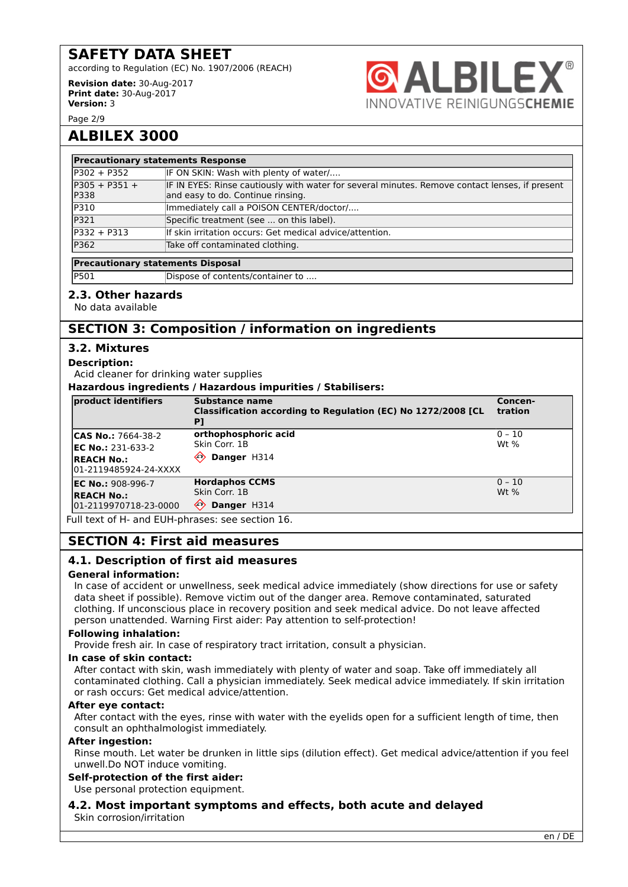according to Regulation (EC) No. 1907/2006 (REACH)

**Revision date:** 30-Aug-2017 **Print date:** 30-Aug-2017 **Version:** 3



Page 2/9

### **ALBILEX 3000**

| <b>Precautionary statements Response</b> |                                                                                                                                     |  |
|------------------------------------------|-------------------------------------------------------------------------------------------------------------------------------------|--|
| $P302 + P352$                            | IF ON SKIN: Wash with plenty of water/                                                                                              |  |
| $P305 + P351 +$<br><b>P338</b>           | IF IN EYES: Rinse cautiously with water for several minutes. Remove contact lenses, if present<br>and easy to do. Continue rinsing. |  |
| P310                                     | Immediately call a POISON CENTER/doctor/                                                                                            |  |
| P321                                     | Specific treatment (see  on this label).                                                                                            |  |
| $P332 + P313$                            | If skin irritation occurs: Get medical advice/attention.                                                                            |  |
| P362                                     | Take off contaminated clothing.                                                                                                     |  |

### **Precautionary statements Disposal**

| P501 | Dispose of contents/container to |
|------|----------------------------------|
|      |                                  |

#### **2.3. Other hazards**

No data available

### **SECTION 3: Composition / information on ingredients**

### **3.2. Mixtures**

#### **Description:**

Acid cleaner for drinking water supplies

**Hazardous ingredients / Hazardous impurities / Stabilisers:**

| product identifiers                         | Substance name<br>Classification according to Regulation (EC) No 1272/2008 [CL<br>P] | Concen-<br>tration |
|---------------------------------------------|--------------------------------------------------------------------------------------|--------------------|
| <b>CAS No.: 7664-38-2</b>                   | orthophosphoric acid                                                                 | $0 - 10$           |
| <b>IEC No.: 231-633-2</b>                   | lSkin Corr. 1B                                                                       | $Wt$ %             |
| <b>REACH No.:</b><br>l01-2119485924-24-XXXX | ⇐<br>Danger H314                                                                     |                    |
| <b>EC No.: 908-996-7</b>                    | <b>Hordaphos CCMS</b>                                                                | $ 0 - 10 $         |
| <b>REACH No.:</b>                           | Skin Corr. 1B                                                                        | $Wt$ %             |
| 01-2119970718-23-0000                       | $\langle \cdot \rangle$<br>Danger H314                                               |                    |

Full text of H- and EUH-phrases: see section 16.

### **SECTION 4: First aid measures**

### **4.1. Description of first aid measures**

#### **General information:**

In case of accident or unwellness, seek medical advice immediately (show directions for use or safety data sheet if possible). Remove victim out of the danger area. Remove contaminated, saturated clothing. If unconscious place in recovery position and seek medical advice. Do not leave affected person unattended. Warning First aider: Pay attention to self-protection!

#### **Following inhalation:**

Provide fresh air. In case of respiratory tract irritation, consult a physician.

#### **In case of skin contact:**

After contact with skin, wash immediately with plenty of water and soap. Take off immediately all contaminated clothing. Call a physician immediately. Seek medical advice immediately. If skin irritation or rash occurs: Get medical advice/attention.

### **After eye contact:**

After contact with the eyes, rinse with water with the eyelids open for a sufficient length of time, then consult an ophthalmologist immediately.

#### **After ingestion:**

Rinse mouth. Let water be drunken in little sips (dilution effect). Get medical advice/attention if you feel unwell.Do NOT induce vomiting.

#### **Self-protection of the first aider:**

Use personal protection equipment.

**4.2. Most important symptoms and effects, both acute and delayed** Skin corrosion/irritation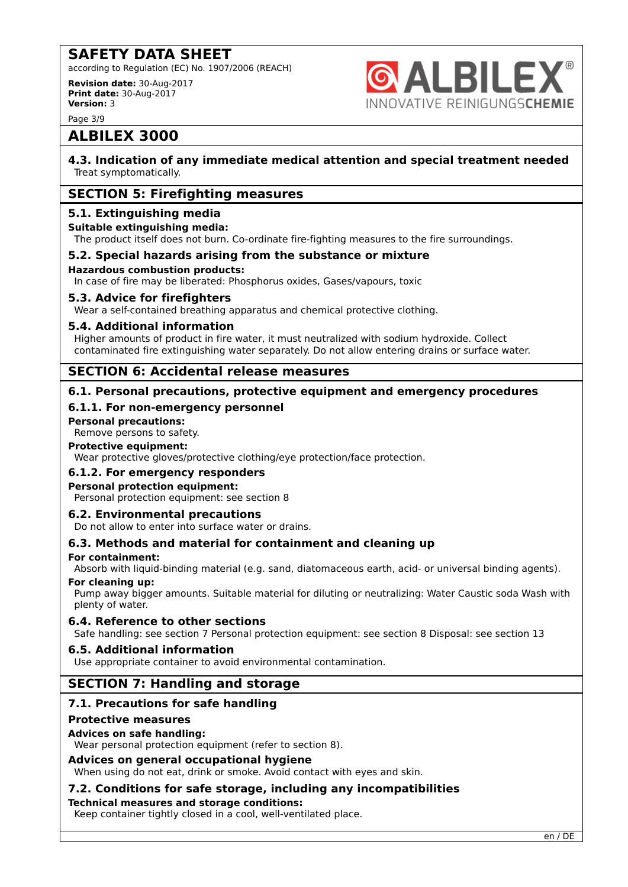according to Regulation (EC) No. 1907/2006 (REACH)

**Revision date:** 30-Aug-2017 **Print date:** 30-Aug-2017 **Version:** 3



Page 3/9

### **ALBILEX 3000**

**4.3. Indication of any immediate medical attention and special treatment needed** Treat symptomatically.

### **SECTION 5: Firefighting measures**

### **5.1. Extinguishing media**

### **Suitable extinguishing media:**

The product itself does not burn. Co-ordinate fire-fighting measures to the fire surroundings.

### **5.2. Special hazards arising from the substance or mixture**

### **Hazardous combustion products:**

In case of fire may be liberated: Phosphorus oxides, Gases/vapours, toxic

### **5.3. Advice for firefighters**

Wear a self-contained breathing apparatus and chemical protective clothing.

### **5.4. Additional information**

Higher amounts of product in fire water, it must neutralized with sodium hydroxide. Collect contaminated fire extinguishing water separately. Do not allow entering drains or surface water.

### **SECTION 6: Accidental release measures**

### **6.1. Personal precautions, protective equipment and emergency procedures**

### **6.1.1. For non-emergency personnel**

### **Personal precautions:**

Remove persons to safety.

### **Protective equipment:**

Wear protective gloves/protective clothing/eye protection/face protection.

### **6.1.2. For emergency responders**

### **Personal protection equipment:**

Personal protection equipment: see section 8

### **6.2. Environmental precautions**

Do not allow to enter into surface water or drains.

### **6.3. Methods and material for containment and cleaning up**

#### **For containment:**

Absorb with liquid-binding material (e.g. sand, diatomaceous earth, acid- or universal binding agents).

### **For cleaning up:**

Pump away bigger amounts. Suitable material for diluting or neutralizing: Water Caustic soda Wash with plenty of water.

### **6.4. Reference to other sections**

Safe handling: see section 7 Personal protection equipment: see section 8 Disposal: see section 13

### **6.5. Additional information**

Use appropriate container to avoid environmental contamination.

### **SECTION 7: Handling and storage**

### **7.1. Precautions for safe handling**

### **Protective measures**

### **Advices on safe handling:**

Wear personal protection equipment (refer to section 8).

### **Advices on general occupational hygiene**

When using do not eat, drink or smoke. Avoid contact with eyes and skin.

### **7.2. Conditions for safe storage, including any incompatibilities**

### **Technical measures and storage conditions:**

Keep container tightly closed in a cool, well-ventilated place.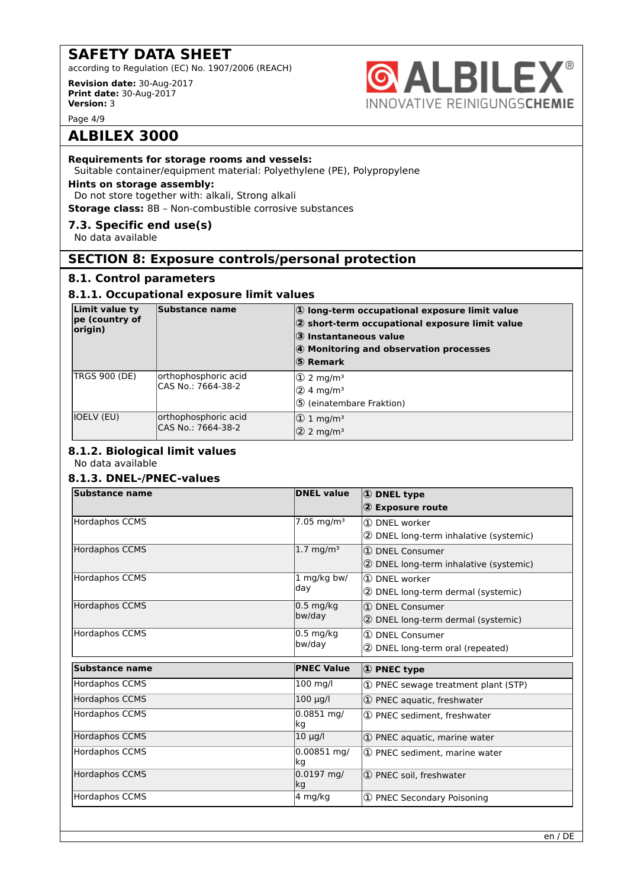according to Regulation (EC) No. 1907/2006 (REACH)

**Revision date:** 30-Aug-2017 **Print date:** 30-Aug-2017 **Version:** 3



Page 4/9

### **ALBILEX 3000**

### **Requirements for storage rooms and vessels:**

Suitable container/equipment material: Polyethylene (PE), Polypropylene

#### **Hints on storage assembly:**

Do not store together with: alkali, Strong alkali

**Storage class:** 8B – Non-combustible corrosive substances

### **7.3. Specific end use(s)**

No data available

### **SECTION 8: Exposure controls/personal protection**

### **8.1. Control parameters**

### **8.1.1. Occupational exposure limit values**

| Limit value ty<br>pe (country of<br>origin) | Substance name                             | $ 0\rangle$ long-term occupational exposure limit value<br>2 short-term occupational exposure limit value<br>$ 3 $ Instantaneous value<br>4 Monitoring and observation processes<br>5 Remark |
|---------------------------------------------|--------------------------------------------|----------------------------------------------------------------------------------------------------------------------------------------------------------------------------------------------|
| <b>TRGS 900 (DE)</b>                        | orthophosphoric acid<br>CAS No.: 7664-38-2 | $\Phi$ 2 mg/m <sup>3</sup><br>$(2)$ 4 mg/m <sup>3</sup><br>5 (einatembare Fraktion)                                                                                                          |
| IOELV (EU)                                  | orthophosphoric acid<br>CAS No.: 7664-38-2 | $ 0 \t1 mq/m^3$<br>$ 2 \rangle$ 2 mg/m <sup>3</sup>                                                                                                                                          |

### **8.1.2. Biological limit values**

No data available

### **8.1.3. DNEL-/PNEC-values**

| <b>Substance name</b> | <b>DNEL value</b>             | 1 DNEL type                              |
|-----------------------|-------------------------------|------------------------------------------|
|                       |                               | 2 Exposure route                         |
| Hordaphos CCMS        | 7.05 mg/m <sup>3</sup>        | 1 DNEL worker                            |
|                       |                               | 2 DNEL long-term inhalative (systemic)   |
| <b>Hordaphos CCMS</b> | $1.7 \text{ mg/m}^3$          | 1 DNEL Consumer                          |
|                       |                               | (2) DNEL long-term inhalative (systemic) |
| <b>Hordaphos CCMS</b> | 1 mg/kg bw/                   | 1 DNEL worker                            |
|                       | day                           | 2 DNEL long-term dermal (systemic)       |
| <b>Hordaphos CCMS</b> | $0.5$ mg/kg                   | 1 DNEL Consumer                          |
|                       | bw/day                        | 2 DNEL long-term dermal (systemic)       |
| <b>Hordaphos CCMS</b> | $0.5 \text{ mg/kg}$<br>bw/day | 1 DNEL Consumer                          |
|                       |                               | 2 DNEL long-term oral (repeated)         |
| <b>Substance name</b> | <b>PNEC Value</b>             | <b>1</b> PNEC type                       |
| <b>Hordaphos CCMS</b> | $100$ mg/l                    | 1 PNEC sewage treatment plant (STP)      |
| <b>Hordaphos CCMS</b> | $100 \mu g/l$                 | 1) PNEC aquatic, freshwater              |
| <b>Hordaphos CCMS</b> | $0.0851$ mg/<br>kg            | 1) PNEC sediment, freshwater             |
| <b>Hordaphos CCMS</b> | $10 \mu g/l$                  | 1 PNEC aquatic, marine water             |
| <b>Hordaphos CCMS</b> | $0.00851$ mg/<br>kg           | 1 PNEC sediment. marine water            |
| <b>Hordaphos CCMS</b> | $0.0197$ mg/<br>kg            | 1 PNEC soil, freshwater                  |
| <b>Hordaphos CCMS</b> | 4 mg/kg                       | 1 PNEC Secondary Poisoning               |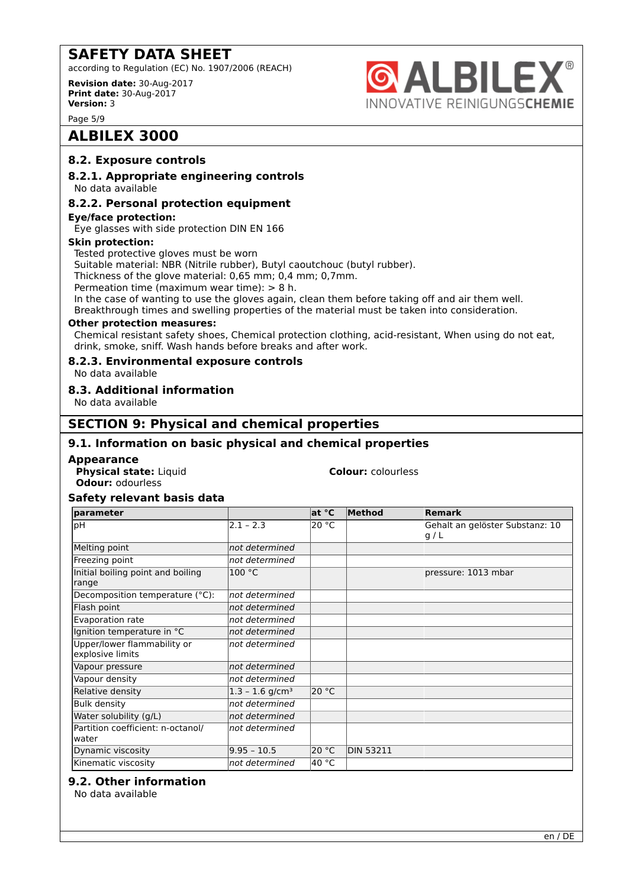according to Regulation (EC) No. 1907/2006 (REACH)

**Revision date:** 30-Aug-2017 **Print date:** 30-Aug-2017 **Version:** 3

Page 5/9

### **ALBILEX 3000**

### **8.2. Exposure controls**

### **8.2.1. Appropriate engineering controls**

No data available

#### **8.2.2. Personal protection equipment**

**Eye/face protection:**

Eye glasses with side protection DIN EN 166

### **Skin protection:**

Tested protective gloves must be worn

Suitable material: NBR (Nitrile rubber), Butyl caoutchouc (butyl rubber).

Thickness of the glove material: 0,65 mm; 0,4 mm; 0,7mm.

Permeation time (maximum wear time): > 8 h.

In the case of wanting to use the gloves again, clean them before taking off and air them well. Breakthrough times and swelling properties of the material must be taken into consideration.

#### **Other protection measures:**

Chemical resistant safety shoes, Chemical protection clothing, acid-resistant, When using do not eat, drink, smoke, sniff. Wash hands before breaks and after work.

### **8.2.3. Environmental exposure controls**

No data available

### **8.3. Additional information**

No data available

### **SECTION 9: Physical and chemical properties**

### **9.1. Information on basic physical and chemical properties**

#### **Appearance**

**Physical state:** Liquid **Colour: Colour:** *colourless* **Odour:** odourless

**& ALBILEX®** 

INNOVATIVE REINIGUNGSCHEMIE

#### **Safety relevant basis data**

| <b>parameter</b>                                |                               | at °C           | Method           | <b>Remark</b>                          |
|-------------------------------------------------|-------------------------------|-----------------|------------------|----------------------------------------|
| þН                                              | $2.1 - 2.3$                   | 20 °C           |                  | Gehalt an gelöster Substanz: 10<br>g/L |
| Melting point                                   | not determined                |                 |                  |                                        |
| Freezing point                                  | not determined                |                 |                  |                                        |
| Initial boiling point and boiling<br>range      | 100 °C                        |                 |                  | pressure: 1013 mbar                    |
| Decomposition temperature (°C):                 | not determined                |                 |                  |                                        |
| Flash point                                     | not determined                |                 |                  |                                        |
| Evaporation rate                                | not determined                |                 |                  |                                        |
| Ignition temperature in °C                      | not determined                |                 |                  |                                        |
| Upper/lower flammability or<br>explosive limits | not determined                |                 |                  |                                        |
| Vapour pressure                                 | not determined                |                 |                  |                                        |
| Vapour density                                  | not determined                |                 |                  |                                        |
| Relative density                                | $1.3 - 1.6$ g/cm <sup>3</sup> | 20 °C           |                  |                                        |
| <b>Bulk density</b>                             | not determined                |                 |                  |                                        |
| Water solubility (g/L)                          | not determined                |                 |                  |                                        |
| Partition coefficient: n-octanol/<br>water      | not determined                |                 |                  |                                        |
| Dynamic viscosity                               | $9.95 - 10.5$                 | 20 $^{\circ}$ C | <b>DIN 53211</b> |                                        |
| Kinematic viscosity                             | not determined                | 40 °C           |                  |                                        |

### **9.2. Other information**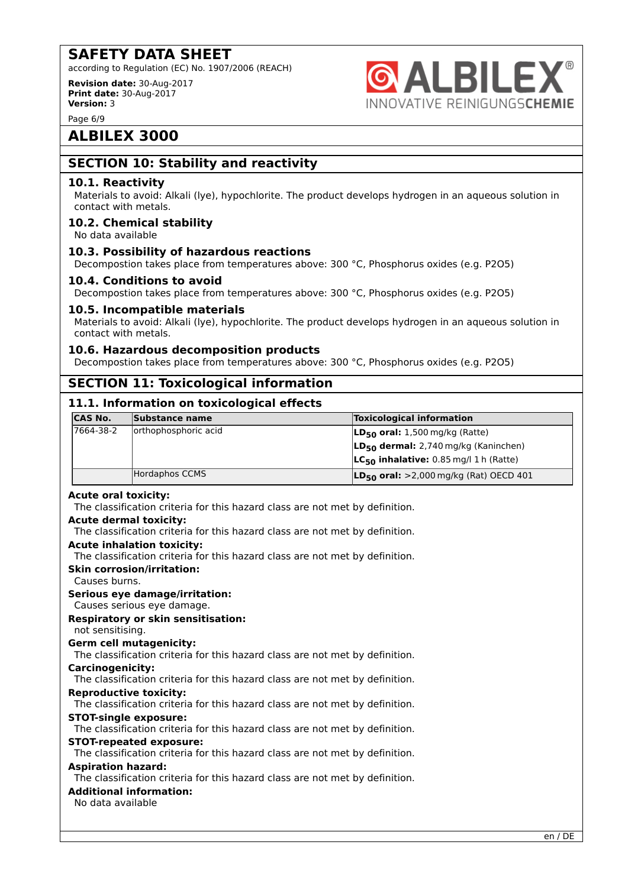according to Regulation (EC) No. 1907/2006 (REACH)

**Revision date:** 30-Aug-2017 **Print date:** 30-Aug-2017 **Version:** 3



Page 6/9

### **ALBILEX 3000**

### **SECTION 10: Stability and reactivity**

### **10.1. Reactivity**

Materials to avoid: Alkali (lye), hypochlorite. The product develops hydrogen in an aqueous solution in contact with metals.

### **10.2. Chemical stability**

No data available

### **10.3. Possibility of hazardous reactions**

Decompostion takes place from temperatures above: 300 °C, Phosphorus oxides (e.g. P2O5)

### **10.4. Conditions to avoid**

Decompostion takes place from temperatures above: 300 °C, Phosphorus oxides (e.g. P2O5)

### **10.5. Incompatible materials**

Materials to avoid: Alkali (lye), hypochlorite. The product develops hydrogen in an aqueous solution in contact with metals.

### **10.6. Hazardous decomposition products**

Decompostion takes place from temperatures above: 300 °C, Phosphorus oxides (e.g. P2O5)

### **SECTION 11: Toxicological information**

### **11.1. Information on toxicological effects**

| <b>CAS No.</b> | Substance name       | <b>Toxicological information</b>                 |
|----------------|----------------------|--------------------------------------------------|
| 17664-38-2     | orthophosphoric acid | $LD_{50}$ oral: 1,500 mg/kg (Ratte)              |
|                |                      | LD <sub>50</sub> dermal: 2,740 mg/kg (Kaninchen) |
|                |                      | $LC_{50}$ inhalative: 0.85 mg/l 1 h (Ratte)      |
|                | Hordaphos CCMS       | $LD_{50}$ oral: >2,000 mg/kg (Rat) OECD 401      |

### **Acute oral toxicity:**

The classification criteria for this hazard class are not met by definition.

#### **Acute dermal toxicity:**

The classification criteria for this hazard class are not met by definition.

#### **Acute inhalation toxicity:**

The classification criteria for this hazard class are not met by definition.

#### **Skin corrosion/irritation:**

Causes burns.

### **Serious eye damage/irritation:**

Causes serious eye damage.

### **Respiratory or skin sensitisation:**

not sensitising.

#### **Germ cell mutagenicity:**

The classification criteria for this hazard class are not met by definition.

#### **Carcinogenicity:**

The classification criteria for this hazard class are not met by definition.

#### **Reproductive toxicity:**

The classification criteria for this hazard class are not met by definition.

#### **STOT-single exposure:**

The classification criteria for this hazard class are not met by definition.

## **STOT-repeated exposure:**

The classification criteria for this hazard class are not met by definition.

### **Aspiration hazard:**

The classification criteria for this hazard class are not met by definition.

### **Additional information:**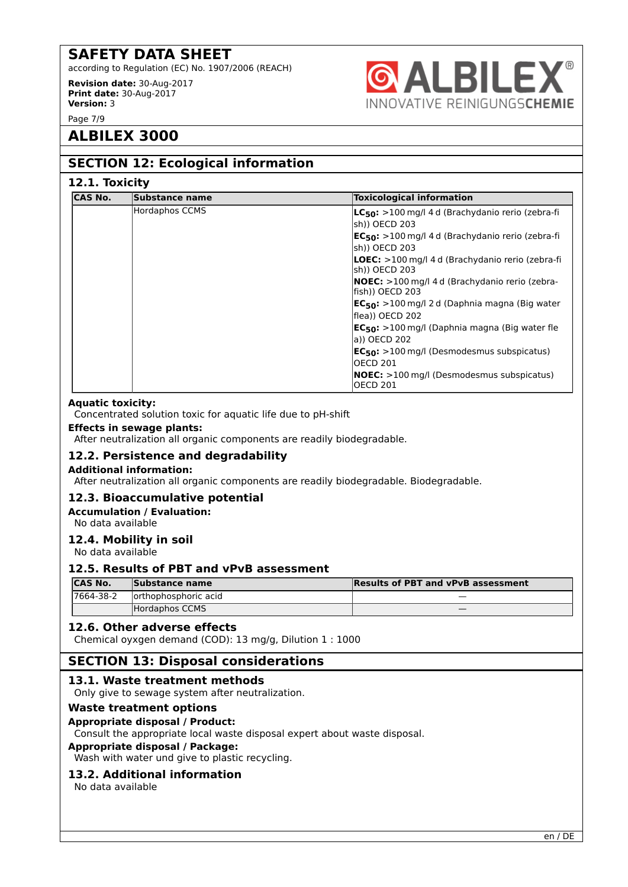according to Regulation (EC) No. 1907/2006 (REACH)

**Revision date:** 30-Aug-2017 **Print date:** 30-Aug-2017 **Version:** 3



### **ALBILEX 3000**

### **SECTION 12: Ecological information**

### **12.1. Toxicity**

| <b>CAS No.</b> | Substance name | <b>Toxicological information</b>                                         |
|----------------|----------------|--------------------------------------------------------------------------|
|                | Hordaphos CCMS | $LC_{50}$ : >100 mg/l 4 d (Brachydanio rerio (zebra-fi<br>sh)) OECD 203  |
|                |                | $EC_{50}$ : >100 mg/l 4 d (Brachydanio rerio (zebra-fi<br>sh)) OECD 203  |
|                |                | <b>LOEC:</b> >100 mg/l 4 d (Brachydanio rerio (zebra-fi<br>sh)) OECD 203 |
|                |                | <b>NOEC:</b> >100 mg/l 4 d (Brachydanio rerio (zebra-<br>fish)) OECD 203 |
|                |                | $EC_{50}$ : >100 mg/l 2 d (Daphnia magna (Big water<br>flea)) OECD 202   |
|                |                | $EC_{50}$ : >100 mg/l (Daphnia magna (Big water fle<br>a)) OECD 202      |
|                |                | $EC_{50}$ : >100 mg/l (Desmodesmus subspicatus)<br><b>OECD 201</b>       |
|                |                | <b>NOEC:</b> >100 mg/l (Desmodesmus subspicatus)<br><b>OECD 201</b>      |

### **Aquatic toxicity:**

Concentrated solution toxic for aquatic life due to pH-shift

#### **Effects in sewage plants:**

After neutralization all organic components are readily biodegradable.

### **12.2. Persistence and degradability**

#### **Additional information:**

After neutralization all organic components are readily biodegradable. Biodegradable.

### **12.3. Bioaccumulative potential**

**Accumulation / Evaluation:**

No data available

### **12.4. Mobility in soil**

No data available

### **12.5. Results of PBT and vPvB assessment**

| <b>ICAS No.</b> | Substance name        | <b>Results of PBT and vPvB assessment</b> |
|-----------------|-----------------------|-------------------------------------------|
| 17664-38-2      | lorthophosphoric acid |                                           |
|                 | Hordaphos CCMS        |                                           |

### **12.6. Other adverse effects**

Chemical oyxgen demand (COD): 13 mg/g, Dilution 1 : 1000

### **SECTION 13: Disposal considerations**

### **13.1. Waste treatment methods**

Only give to sewage system after neutralization.

#### **Waste treatment options**

#### **Appropriate disposal / Product:**

Consult the appropriate local waste disposal expert about waste disposal.

### **Appropriate disposal / Package:**

Wash with water und give to plastic recycling.

### **13.2. Additional information**

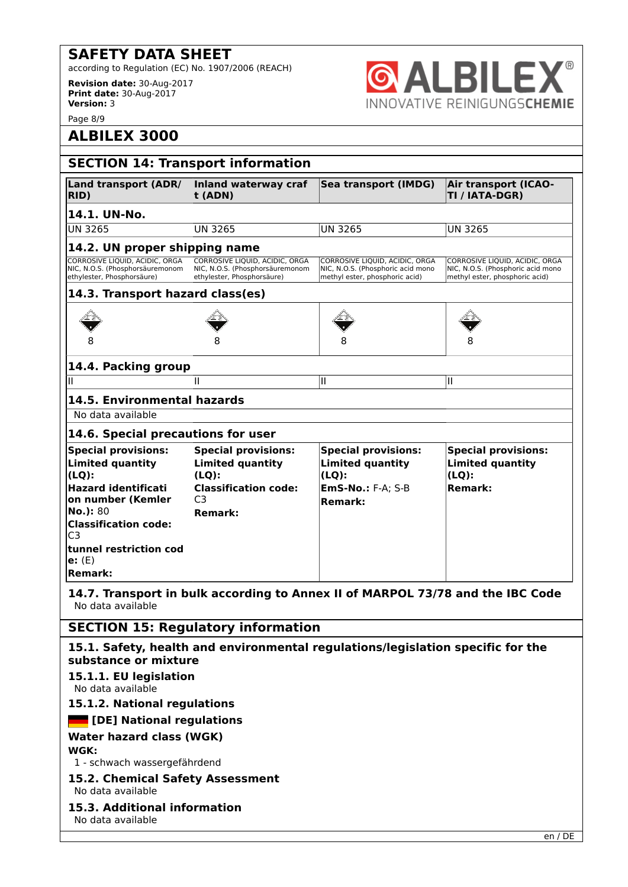according to Regulation (EC) No. 1907/2006 (REACH)

**Revision date:** 30-Aug-2017 **Print date:** 30-Aug-2017 **Version:** 3

Page 8/9

## **ALBILEX 3000**

| AI ' | LDILI |                                  |  |
|------|-------|----------------------------------|--|
|      |       | )VATIVE REINIGUNGS <b>CHEMIE</b> |  |

| <b>SECTION 14: Transport information</b>                                                                                                                                                                                                         |                                                                                                                                      |                                                                                                                 |                                                                                                       |  |  |  |
|--------------------------------------------------------------------------------------------------------------------------------------------------------------------------------------------------------------------------------------------------|--------------------------------------------------------------------------------------------------------------------------------------|-----------------------------------------------------------------------------------------------------------------|-------------------------------------------------------------------------------------------------------|--|--|--|
| Land transport (ADR/<br><b>RID</b> )                                                                                                                                                                                                             | Inland waterway craf<br>t (ADN)                                                                                                      | Sea transport (IMDG)                                                                                            | <b>Air transport (ICAO-</b><br>TI / IATA-DGR)                                                         |  |  |  |
| 14.1. UN-No.                                                                                                                                                                                                                                     |                                                                                                                                      |                                                                                                                 |                                                                                                       |  |  |  |
| <b>UN 3265</b>                                                                                                                                                                                                                                   | <b>UN 3265</b>                                                                                                                       | <b>UN 3265</b>                                                                                                  | <b>UN 3265</b>                                                                                        |  |  |  |
| 14.2. UN proper shipping name                                                                                                                                                                                                                    |                                                                                                                                      |                                                                                                                 |                                                                                                       |  |  |  |
| CORROSIVE LIOUID, ACIDIC, ORGA<br>NIC, N.O.S. (Phosphorsäuremonom<br>ethylester, Phosphorsäure)                                                                                                                                                  | CORROSIVE LIQUID, ACIDIC, ORGA<br>NIC, N.O.S. (Phosphorsäuremonom<br>ethylester, Phosphorsäure)                                      | CORROSIVE LIQUID, ACIDIC, ORGA<br>NIC, N.O.S. (Phosphoric acid mono<br>methyl ester, phosphoric acid)           | CORROSIVE LIQUID, ACIDIC, ORGA<br>NIC, N.O.S. (Phosphoric acid mono<br>methyl ester, phosphoric acid) |  |  |  |
| 14.3. Transport hazard class(es)                                                                                                                                                                                                                 |                                                                                                                                      |                                                                                                                 |                                                                                                       |  |  |  |
|                                                                                                                                                                                                                                                  |                                                                                                                                      |                                                                                                                 |                                                                                                       |  |  |  |
|                                                                                                                                                                                                                                                  |                                                                                                                                      |                                                                                                                 |                                                                                                       |  |  |  |
| 14.4. Packing group                                                                                                                                                                                                                              |                                                                                                                                      |                                                                                                                 |                                                                                                       |  |  |  |
| Ш                                                                                                                                                                                                                                                | Ш                                                                                                                                    | Ш                                                                                                               | Ш                                                                                                     |  |  |  |
| 14.5. Environmental hazards                                                                                                                                                                                                                      |                                                                                                                                      |                                                                                                                 |                                                                                                       |  |  |  |
| No data available                                                                                                                                                                                                                                |                                                                                                                                      |                                                                                                                 |                                                                                                       |  |  |  |
| 14.6. Special precautions for user                                                                                                                                                                                                               |                                                                                                                                      |                                                                                                                 |                                                                                                       |  |  |  |
| <b>Special provisions:</b><br><b>Limited quantity</b><br>$(LQ)$ :<br><b>Hazard identificati</b><br>on number (Kemler<br>No.): 80<br><b>Classification code:</b><br>C <sub>3</sub><br>$\sf{tunnel}$ restriction cod<br>$e:$ (E)<br><b>Remark:</b> | <b>Special provisions:</b><br><b>Limited quantity</b><br>$(LQ)$ :<br><b>Classification code:</b><br>C <sub>3</sub><br><b>Remark:</b> | <b>Special provisions:</b><br><b>Limited quantity</b><br>$(LQ)$ :<br><b>EmS-No.: F-A; S-B</b><br><b>Remark:</b> | <b>Special provisions:</b><br><b>Limited quantity</b><br>$(LQ)$ :<br><b>Remark:</b>                   |  |  |  |

**14.7. Transport in bulk according to Annex II of MARPOL 73/78 and the IBC Code** No data available

**SECTION 15: Regulatory information**

### **15.1. Safety, health and environmental regulations/legislation specific for the substance or mixture**

### **15.1.1. EU legislation**

No data available

### **15.1.2. National regulations**

### *<b>EXECUTE:* [DE] National regulations

### **Water hazard class (WGK)**

**WGK:**

1 - schwach wassergefährdend

#### **15.2. Chemical Safety Assessment** No data available

### **15.3. Additional information**